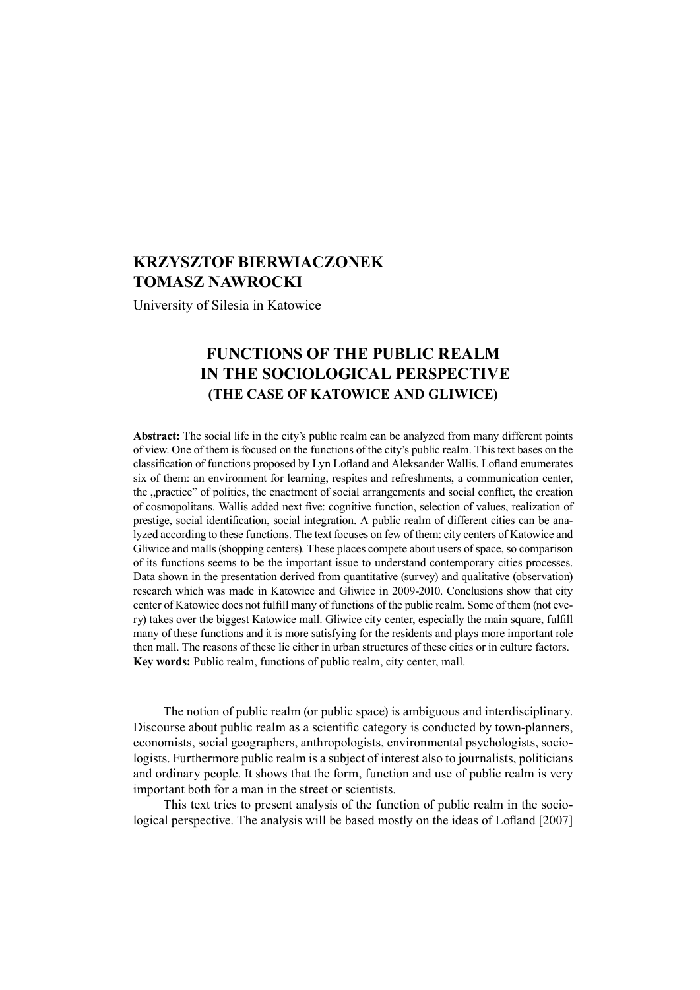# **KRZYSZTOF BIERWIACZONEK TOMASZ NAWROCKI**

University of Silesia in Katowice

# **FUNCTIONS OF THE PUBLIC REALM IN THE SOCIOLOGICAL PERSPECTIVE (THE CASE OF KATOWICE AND GLIWICE)**

**Abstract:** The social life in the city's public realm can be analyzed from many different points of view. One of them is focused on the functions of the city's public realm. This text bases on the classification of functions proposed by Lyn Lofland and Aleksander Wallis. Lofland enumerates six of them: an environment for learning, respites and refreshments, a communication center, the "practice" of politics, the enactment of social arrangements and social conflict, the creation of cosmopolitans. Wallis added next five: cognitive function, selection of values, realization of prestige, social identification, social integration. A public realm of different cities can be analyzed according to these functions. The text focuses on few of them: city centers of Katowice and Gliwice and malls (shopping centers). These places compete about users of space, so comparison of its functions seems to be the important issue to understand contemporary cities processes. Data shown in the presentation derived from quantitative (survey) and qualitative (observation) research which was made in Katowice and Gliwice in 2009-2010. Conclusions show that city center of Katowice does not fulfill many of functions of the public realm. Some of them (not every) takes over the biggest Katowice mall. Gliwice city center, especially the main square, fulfill many of these functions and it is more satisfying for the residents and plays more important role then mall. The reasons of these lie either in urban structures of these cities or in culture factors. **Key words:** Public realm, functions of public realm, city center, mall.

The notion of public realm (or public space) is ambiguous and interdisciplinary. Discourse about public realm as a scientific category is conducted by town-planners, economists, social geographers, anthropologists, environmental psychologists, sociologists. Furthermore public realm is a subject of interest also to journalists, politicians and ordinary people. It shows that the form, function and use of public realm is very important both for a man in the street or scientists.

This text tries to present analysis of the function of public realm in the sociological perspective. The analysis will be based mostly on the ideas of Lofland [2007]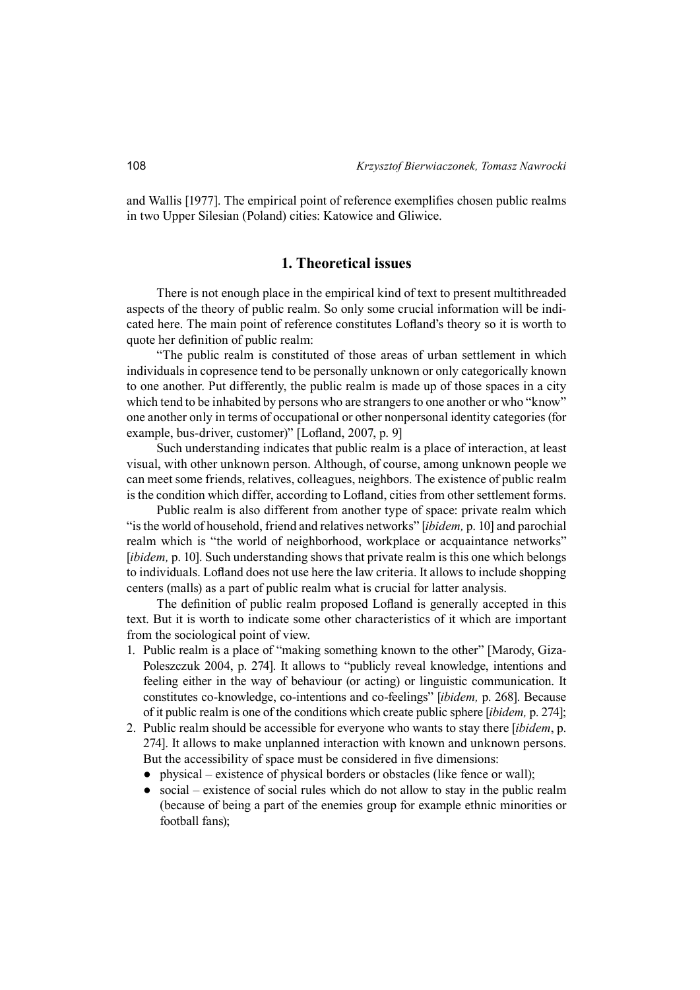and Wallis [1977]. The empirical point of reference exemplifies chosen public realms in two Upper Silesian (Poland) cities: Katowice and Gliwice.

## **1. Theoretical issues**

There is not enough place in the empirical kind of text to present multithreaded aspects of the theory of public realm. So only some crucial information will be indicated here. The main point of reference constitutes Lofland's theory so it is worth to quote her definition of public realm:

"The public realm is constituted of those areas of urban settlement in which individuals in copresence tend to be personally unknown or only categorically known to one another. Put differently, the public realm is made up of those spaces in a city which tend to be inhabited by persons who are strangers to one another or who "know" one another only in terms of occupational or other nonpersonal identity categories (for example, bus-driver, customer)" [Lofland, 2007, p. 9]

Such understanding indicates that public realm is a place of interaction, at least visual, with other unknown person. Although, of course, among unknown people we can meet some friends, relatives, colleagues, neighbors. The existence of public realm is the condition which differ, according to Lofland, cities from other settlement forms.

Public realm is also different from another type of space: private realm which "is the world of household, friend and relatives networks" [*ibidem,* p. 10] and parochial realm which is "the world of neighborhood, workplace or acquaintance networks" [*ibidem,* p. 10]. Such understanding shows that private realm is this one which belongs to individuals. Lofland does not use here the law criteria. It allows to include shopping centers (malls) as a part of public realm what is crucial for latter analysis.

The definition of public realm proposed Lofland is generally accepted in this text. But it is worth to indicate some other characteristics of it which are important from the sociological point of view.

- 1. Public realm is a place of "making something known to the other" [Marody, Giza-Poleszczuk 2004, p. 274]. It allows to "publicly reveal knowledge, intentions and feeling either in the way of behaviour (or acting) or linguistic communication. It constitutes co-knowledge, co-intentions and co-feelings" [*ibidem,* p. 268]. Because of it public realm is one of the conditions which create public sphere [*ibidem,* p. 274];
- 2. Public realm should be accessible for everyone who wants to stay there [*ibidem*, p. 274]. It allows to make unplanned interaction with known and unknown persons. But the accessibility of space must be considered in five dimensions:
	- $\bullet$  physical existence of physical borders or obstacles (like fence or wall);
	- social existence of social rules which do not allow to stay in the public realm (because of being a part of the enemies group for example ethnic minorities or football fans);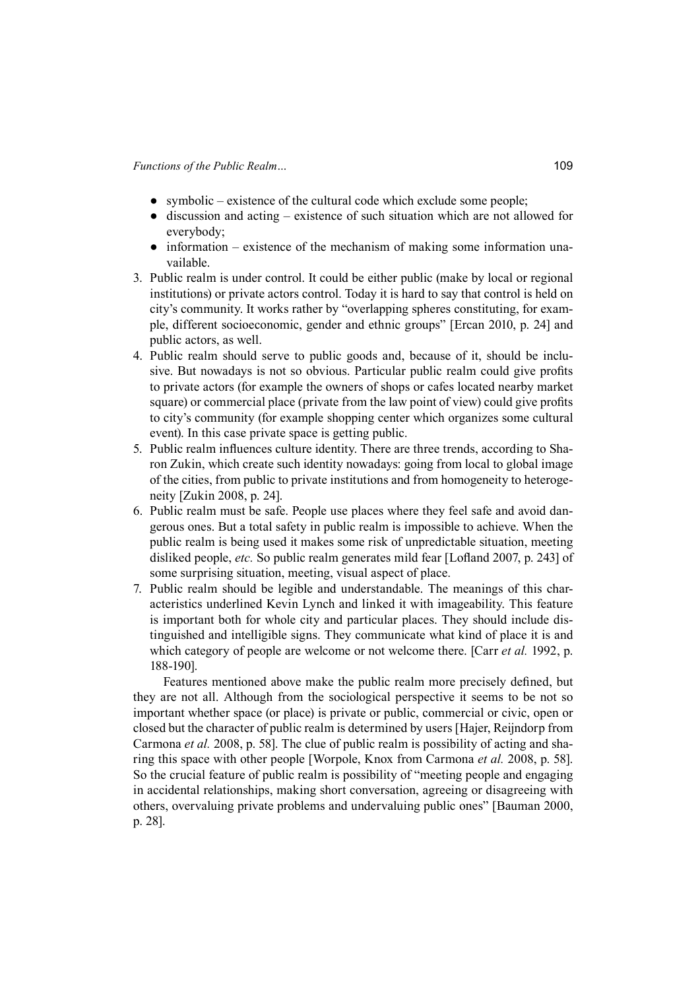- $\bullet$  symbolic existence of the cultural code which exclude some people;
- discussion and acting existence of such situation which are not allowed for everybody;
- information existence of the mechanism of making some information unavailable.
- 3. Public realm is under control. It could be either public (make by local or regional institutions) or private actors control. Today it is hard to say that control is held on city's community. It works rather by "overlapping spheres constituting, for example, different socioeconomic, gender and ethnic groups" [Ercan 2010, p. 24] and public actors, as well.
- 4. Public realm should serve to public goods and, because of it, should be inclusive. But nowadays is not so obvious. Particular public realm could give profits to private actors (for example the owners of shops or cafes located nearby market square) or commercial place (private from the law point of view) could give profits to city's community (for example shopping center which organizes some cultural event). In this case private space is getting public.
- 5. Public realm influences culture identity. There are three trends, according to Sharon Zukin, which create such identity nowadays: going from local to global image of the cities, from public to private institutions and from homogeneity to heterogeneity [Zukin 2008, p. 24].
- 6. Public realm must be safe. People use places where they feel safe and avoid dangerous ones. But a total safety in public realm is impossible to achieve. When the public realm is being used it makes some risk of unpredictable situation, meeting disliked people, *etc.* So public realm generates mild fear [Lofland 2007, p. 243] of some surprising situation, meeting, visual aspect of place.
- 7. Public realm should be legible and understandable. The meanings of this characteristics underlined Kevin Lynch and linked it with imageability. This feature is important both for whole city and particular places. They should include distinguished and intelligible signs. They communicate what kind of place it is and which category of people are welcome or not welcome there. [Carr *et al.* 1992, p. 188-190].

Features mentioned above make the public realm more precisely defined, but they are not all. Although from the sociological perspective it seems to be not so important whether space (or place) is private or public, commercial or civic, open or closed but the character of public realm is determined by users [Hajer, Reijndorp from Carmona *et al.* 2008, p. 58]. The clue of public realm is possibility of acting and sharing this space with other people [Worpole, Knox from Carmona *et al.* 2008, p. 58]. So the crucial feature of public realm is possibility of "meeting people and engaging in accidental relationships, making short conversation, agreeing or disagreeing with others, overvaluing private problems and undervaluing public ones" [Bauman 2000, p. 28].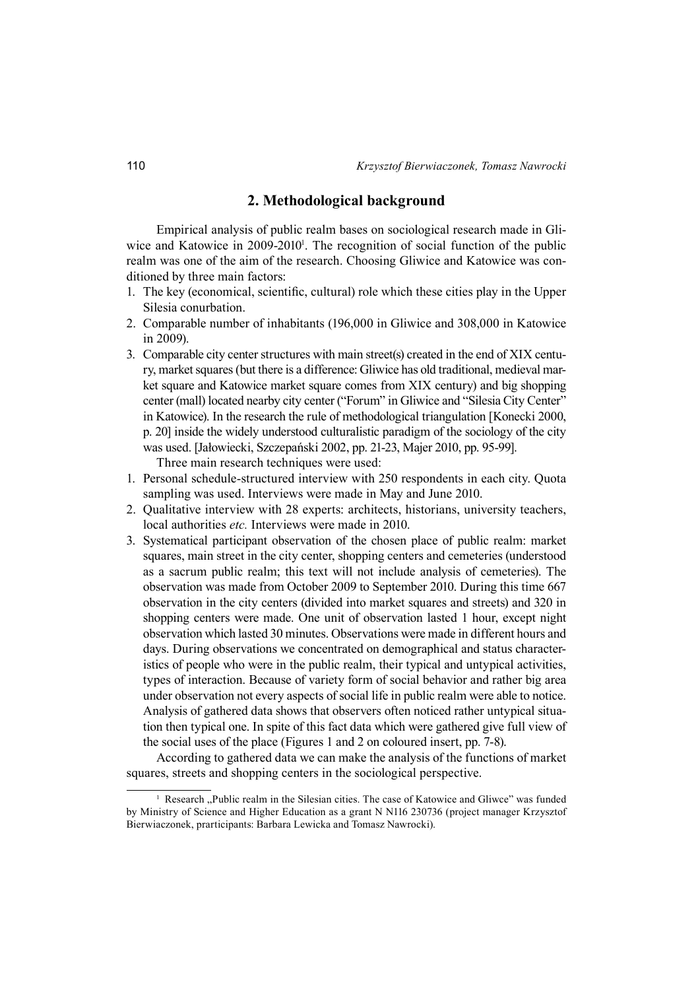### **2. Methodological background**

Empirical analysis of public realm bases on sociological research made in Gliwice and Katowice in 2009-2010<sup>1</sup>. The recognition of social function of the public realm was one of the aim of the research. Choosing Gliwice and Katowice was conditioned by three main factors:

- 1. The key (economical, scientific, cultural) role which these cities play in the Upper Silesia conurbation.
- 2. Comparable number of inhabitants (196,000 in Gliwice and 308,000 in Katowice in 2009).
- 3. Comparable city center structures with main street(s) created in the end of XIX century, market squares (but there is a difference: Gliwice has old traditional, medieval market square and Katowice market square comes from XIX century) and big shopping center (mall) located nearby city center ("Forum" in Gliwice and "Silesia City Center" in Katowice). In the research the rule of methodological triangulation [Konecki 2000, p. 20] inside the widely understood culturalistic paradigm of the sociology of the city was used. [Jałowiecki, Szczepański 2002, pp. 21-23, Majer 2010, pp. 95-99].

Three main research techniques were used:

- 1. Personal schedule-structured interview with 250 respondents in each city. Quota sampling was used. Interviews were made in May and June 2010.
- 2. Qualitative interview with 28 experts: architects, historians, university teachers, local authorities *etc.* Interviews were made in 2010.
- 3. Systematical participant observation of the chosen place of public realm: market squares, main street in the city center, shopping centers and cemeteries (understood as a sacrum public realm; this text will not include analysis of cemeteries). The observation was made from October 2009 to September 2010. During this time 667 observation in the city centers (divided into market squares and streets) and 320 in shopping centers were made. One unit of observation lasted 1 hour, except night observation which lasted 30 minutes. Observations were made in different hours and days. During observations we concentrated on demographical and status characteristics of people who were in the public realm, their typical and untypical activities, types of interaction. Because of variety form of social behavior and rather big area under observation not every aspects of social life in public realm were able to notice. Analysis of gathered data shows that observers often noticed rather untypical situation then typical one. In spite of this fact data which were gathered give full view of the social uses of the place (Figures 1 and 2 on coloured insert, pp. 7-8).

According to gathered data we can make the analysis of the functions of market squares, streets and shopping centers in the sociological perspective.

<sup>&</sup>lt;sup>1</sup> Research "Public realm in the Silesian cities. The case of Katowice and Gliwce" was funded by Ministry of Science and Higher Education as a grant N N116 230736 (project manager Krzysztof Bierwiaczonek, prarticipants: Barbara Lewicka and Tomasz Nawrocki).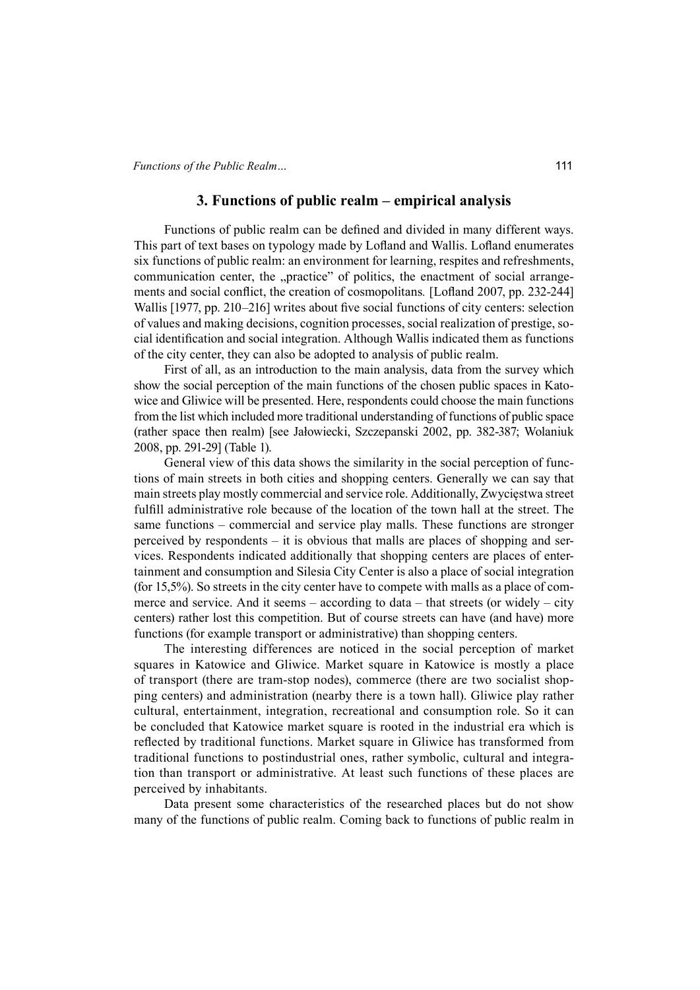#### **3. Functions of public realm – empirical analysis**

Functions of public realm can be defined and divided in many different ways. This part of text bases on typology made by Lofland and Wallis. Lofland enumerates six functions of public realm: an environment for learning, respites and refreshments, communication center, the "practice" of politics, the enactment of social arrangements and social conflict, the creation of cosmopolitans. [Lofland 2007, pp. 232-244] Wallis  $[1977, pp. 210-216]$  writes about five social functions of city centers: selection of values and making decisions, cognition processes, social realization of prestige, social identification and social integration. Although Wallis indicated them as functions of the city center, they can also be adopted to analysis of public realm.

First of all, as an introduction to the main analysis, data from the survey which show the social perception of the main functions of the chosen public spaces in Katowice and Gliwice will be presented. Here, respondents could choose the main functions from the list which included more traditional understanding of functions of public space (rather space then realm) [see Jałowiecki, Szczepanski 2002, pp. 382-387; Wolaniuk 2008, pp. 291-29] (Table 1).

General view of this data shows the similarity in the social perception of functions of main streets in both cities and shopping centers. Generally we can say that main streets play mostly commercial and service role. Additionally, Zwycięstwa street fulfill administrative role because of the location of the town hall at the street. The same functions – commercial and service play malls. These functions are stronger perceived by respondents – it is obvious that malls are places of shopping and services. Respondents indicated additionally that shopping centers are places of entertainment and consumption and Silesia City Center is also a place of social integration (for 15,5%). So streets in the city center have to compete with malls as a place of commerce and service. And it seems – according to data – that streets (or widely – city centers) rather lost this competition. But of course streets can have (and have) more functions (for example transport or administrative) than shopping centers.

The interesting differences are noticed in the social perception of market squares in Katowice and Gliwice. Market square in Katowice is mostly a place of transport (there are tram-stop nodes), commerce (there are two socialist shopping centers) and administration (nearby there is a town hall). Gliwice play rather cultural, entertainment, integration, recreational and consumption role. So it can be concluded that Katowice market square is rooted in the industrial era which is reflected by traditional functions. Market square in Gliwice has transformed from traditional functions to postindustrial ones, rather symbolic, cultural and integration than transport or administrative. At least such functions of these places are perceived by inhabitants.

Data present some characteristics of the researched places but do not show many of the functions of public realm. Coming back to functions of public realm in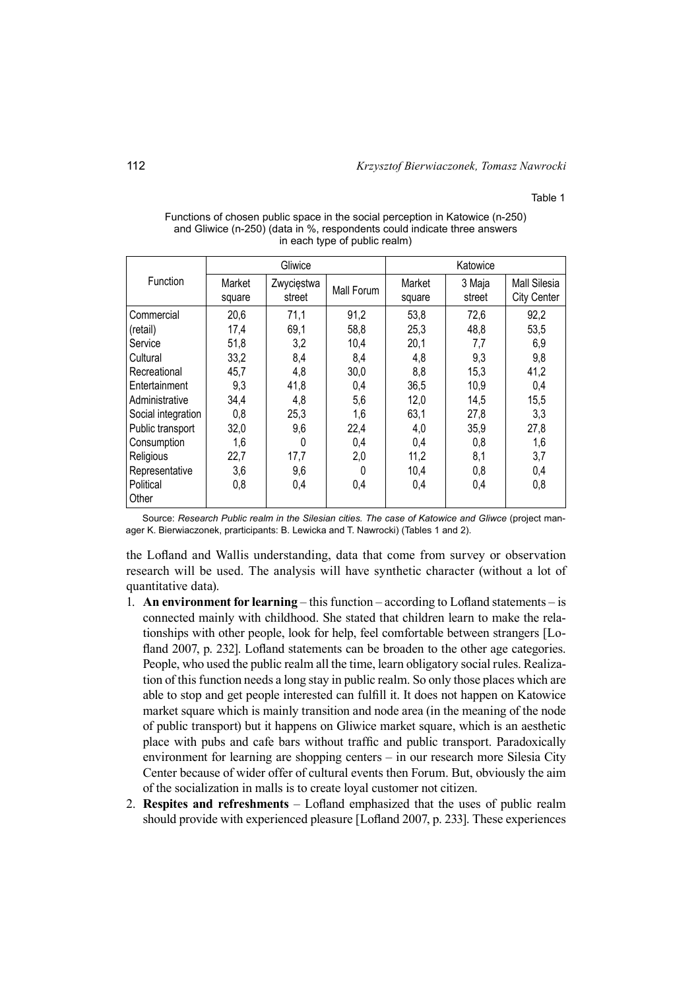#### Table 1

|                    | Gliwice          |                      |            | Katowice         |                  |                                    |  |
|--------------------|------------------|----------------------|------------|------------------|------------------|------------------------------------|--|
| Function           | Market<br>square | Zwycięstwa<br>street | Mall Forum | Market<br>square | 3 Maja<br>street | Mall Silesia<br><b>City Center</b> |  |
| Commercial         | 20,6             | 71,1                 | 91,2       | 53,8             | 72,6             | 92,2                               |  |
| (retail)           | 17,4             | 69,1                 | 58,8       | 25,3             | 48,8             | 53,5                               |  |
| Service            | 51,8             | 3,2                  | 10,4       | 20,1             | 7,7              | 6,9                                |  |
| Cultural           | 33,2             | 8,4                  | 8,4        | 4,8              | 9,3              | 9,8                                |  |
| Recreational       | 45,7             | 4,8                  | 30,0       | 8,8              | 15,3             | 41,2                               |  |
| Entertainment      | 9,3              | 41,8                 | 0,4        | 36,5             | 10,9             | 0,4                                |  |
| Administrative     | 34,4             | 4,8                  | 5,6        | 12,0             | 14,5             | 15,5                               |  |
| Social integration | 0,8              | 25,3                 | 1,6        | 63,1             | 27,8             | 3,3                                |  |
| Public transport   | 32,0             | 9,6                  | 22,4       | 4,0              | 35,9             | 27,8                               |  |
| Consumption        | 1,6              | 0                    | 0,4        | 0,4              | 0,8              | 1,6                                |  |
| Religious          | 22,7             | 17,7                 | 2,0        | 11,2             | 8,1              | 3,7                                |  |
| Representative     | 3,6              | 9,6                  | 0          | 10,4             | 0,8              | 0,4                                |  |
| Political          | 0,8              | 0,4                  | 0,4        | 0,4              | 0,4              | 0,8                                |  |
| Other              |                  |                      |            |                  |                  |                                    |  |

Functions of chosen public space in the social perception in Katowice (n-250) and Gliwice (n-250) (data in %, respondents could indicate three answers in each type of public realm)

Source: *Research Public realm in the Silesian cities. The case of Katowice and Gliwce (project man*ager K. Bierwiaczonek, prarticipants: B. Lewicka and T. Nawrocki) (Tables 1 and 2).

the Lofland and Wallis understanding, data that come from survey or observation research will be used. The analysis will have synthetic character (without a lot of quantitative data).

- 1. **An environment for learning** this function according to Lofland statements is connected mainly with childhood. She stated that children learn to make the relationships with other people, look for help, feel comfortable between strangers [Lofland 2007, p. 232]. Lofland statements can be broaden to the other age categories. People, who used the public realm all the time, learn obligatory social rules. Realization of this function needs a long stay in public realm. So only those places which are able to stop and get people interested can fulfill it. It does not happen on Katowice market square which is mainly transition and node area (in the meaning of the node of public transport) but it happens on Gliwice market square, which is an aesthetic place with pubs and cafe bars without traffic and public transport. Paradoxically environment for learning are shopping centers – in our research more Silesia City Center because of wider offer of cultural events then Forum. But, obviously the aim of the socialization in malls is to create loyal customer not citizen.
- 2. **Respites and refreshments** Lofland emphasized that the uses of public realm should provide with experienced pleasure [Lofland 2007, p. 233]. These experiences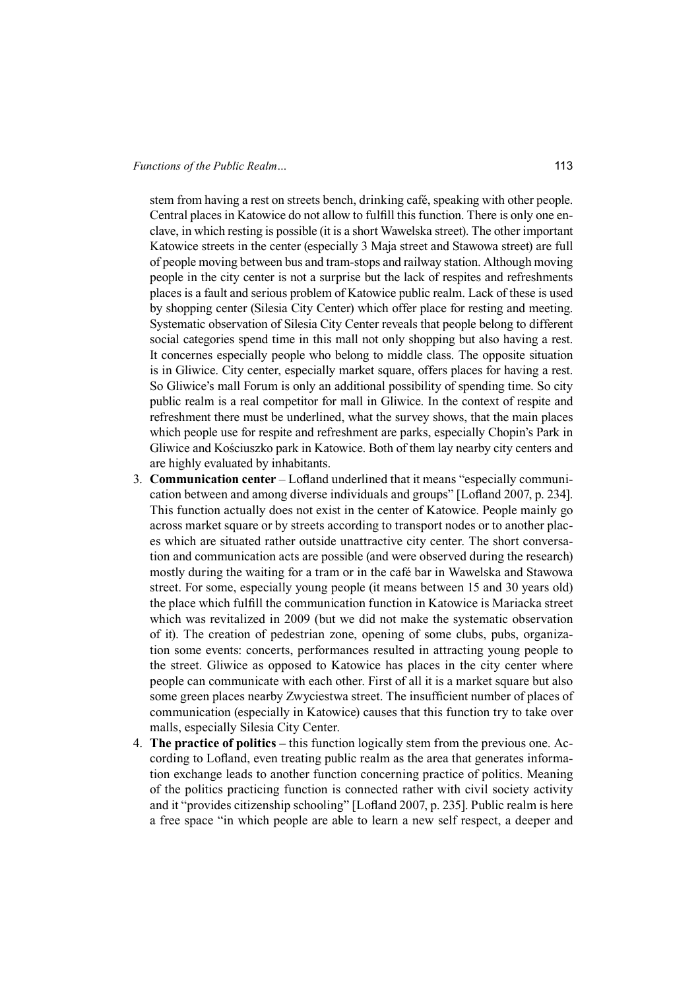stem from having a rest on streets bench, drinking café, speaking with other people. Central places in Katowice do not allow to fulfill this function. There is only one enclave, in which resting is possible (it is a short Wawelska street). The other important Katowice streets in the center (especially 3 Maja street and Stawowa street) are full of people moving between bus and tram-stops and railway station. Although moving people in the city center is not a surprise but the lack of respites and refreshments places is a fault and serious problem of Katowice public realm. Lack of these is used by shopping center (Silesia City Center) which offer place for resting and meeting. Systematic observation of Silesia City Center reveals that people belong to different social categories spend time in this mall not only shopping but also having a rest. It concernes especially people who belong to middle class. The opposite situation is in Gliwice. City center, especially market square, offers places for having a rest. So Gliwice's mall Forum is only an additional possibility of spending time. So city public realm is a real competitor for mall in Gliwice. In the context of respite and refreshment there must be underlined, what the survey shows, that the main places which people use for respite and refreshment are parks, especially Chopin's Park in Gliwice and Kościuszko park in Katowice. Both of them lay nearby city centers and are highly evaluated by inhabitants.

- 3. **Communication center** Lofland underlined that it means "especially communication between and among diverse individuals and groups" [Lofland 2007, p. 234]. This function actually does not exist in the center of Katowice. People mainly go across market square or by streets according to transport nodes or to another places which are situated rather outside unattractive city center. The short conversation and communication acts are possible (and were observed during the research) mostly during the waiting for a tram or in the café bar in Wawelska and Stawowa street. For some, especially young people (it means between 15 and 30 years old) the place which fulfill the communication function in Katowice is Mariacka street which was revitalized in 2009 (but we did not make the systematic observation of it). The creation of pedestrian zone, opening of some clubs, pubs, organization some events: concerts, performances resulted in attracting young people to the street. Gliwice as opposed to Katowice has places in the city center where people can communicate with each other. First of all it is a market square but also some green places nearby Zwyciestwa street. The insufficient number of places of communication (especially in Katowice) causes that this function try to take over malls, especially Silesia City Center.
- 4. **The practice of politics** this function logically stem from the previous one. According to Lofland, even treating public realm as the area that generates information exchange leads to another function concerning practice of politics. Meaning of the politics practicing function is connected rather with civil society activity and it "provides citizenship schooling" [Lofland 2007, p. 235]. Public realm is here a free space "in which people are able to learn a new self respect, a deeper and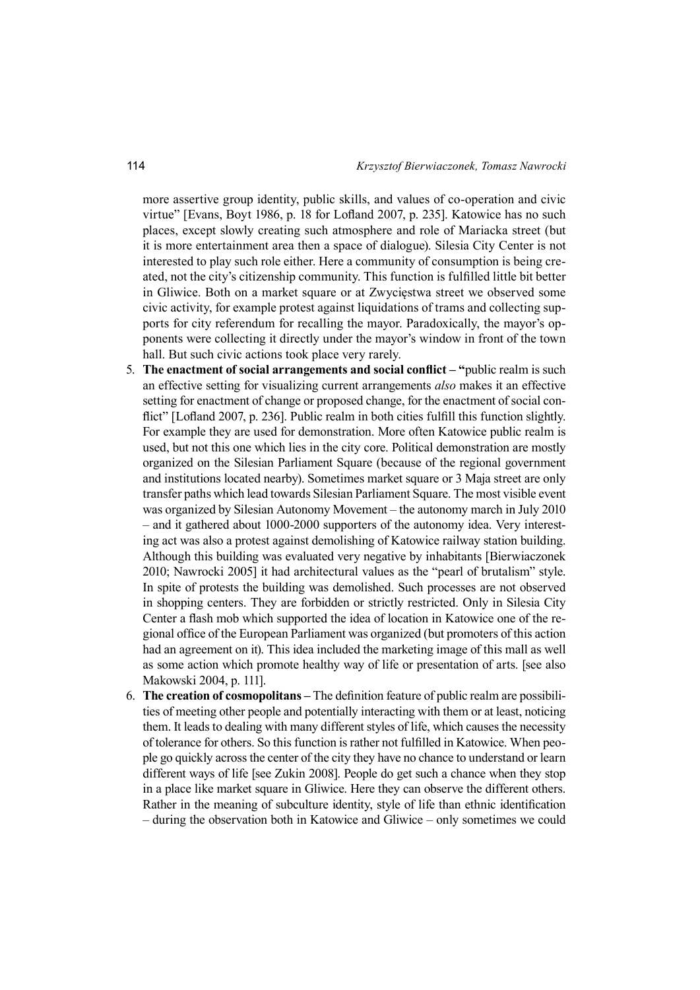more assertive group identity, public skills, and values of co-operation and civic virtue" [Evans, Boyt 1986, p. 18 for Lofland 2007, p. 235]. Katowice has no such places, except slowly creating such atmosphere and role of Mariacka street (but it is more entertainment area then a space of dialogue). Silesia City Center is not interested to play such role either. Here a community of consumption is being created, not the city's citizenship community. This function is fulfilled little bit better in Gliwice. Both on a market square or at Zwycięstwa street we observed some civic activity, for example protest against liquidations of trams and collecting supports for city referendum for recalling the mayor. Paradoxically, the mayor's opponents were collecting it directly under the mayor's window in front of the town hall. But such civic actions took place very rarely.

- 5. The enactment of social arrangements and social conflict "public realm is such an effective setting for visualizing current arrangements *also* makes it an effective setting for enactment of change or proposed change, for the enactment of social conflict" [Lofland 2007, p. 236]. Public realm in both cities fulfill this function slightly. For example they are used for demonstration. More often Katowice public realm is used, but not this one which lies in the city core. Political demonstration are mostly organized on the Silesian Parliament Square (because of the regional government and institutions located nearby). Sometimes market square or 3 Maja street are only transfer paths which lead towards Silesian Parliament Square. The most visible event was organized by Silesian Autonomy Movement – the autonomy march in July 2010 – and it gathered about 1000-2000 supporters of the autonomy idea. Very interesting act was also a protest against demolishing of Katowice railway station building. Although this building was evaluated very negative by inhabitants [Bierwiaczonek 2010; Nawrocki 2005] it had architectural values as the "pearl of brutalism" style. In spite of protests the building was demolished. Such processes are not observed in shopping centers. They are forbidden or strictly restricted. Only in Silesia City Center a flash mob which supported the idea of location in Katowice one of the regional office of the European Parliament was organized (but promoters of this action had an agreement on it). This idea included the marketing image of this mall as well as some action which promote healthy way of life or presentation of arts. [see also Makowski 2004, p. 111].
- 6. **The creation of cosmopolitans** The definition feature of public realm are possibilities of meeting other people and potentially interacting with them or at least, noticing them. It leads to dealing with many different styles of life, which causes the necessity of tolerance for others. So this function is rather not fulfi lled in Katowice. When people go quickly across the center of the city they have no chance to understand or learn different ways of life [see Zukin 2008]. People do get such a chance when they stop in a place like market square in Gliwice. Here they can observe the different others. Rather in the meaning of subculture identity, style of life than ethnic identification – during the observation both in Katowice and Gliwice – only sometimes we could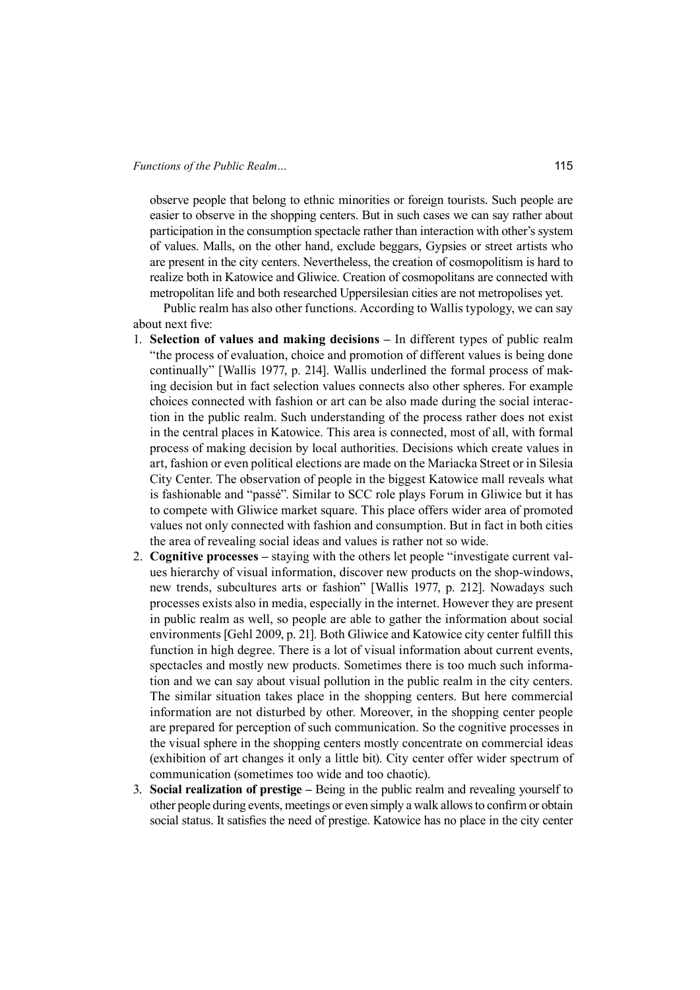observe people that belong to ethnic minorities or foreign tourists. Such people are easier to observe in the shopping centers. But in such cases we can say rather about participation in the consumption spectacle rather than interaction with other's system of values. Malls, on the other hand, exclude beggars, Gypsies or street artists who are present in the city centers. Nevertheless, the creation of cosmopolitism is hard to realize both in Katowice and Gliwice. Creation of cosmopolitans are connected with metropolitan life and both researched Uppersilesian cities are not metropolises yet.

Public realm has also other functions. According to Wallis typology, we can say about next five:

- 1. **Selection of values and making decisions** In different types of public realm "the process of evaluation, choice and promotion of different values is being done continually" [Wallis 1977, p. 214]. Wallis underlined the formal process of making decision but in fact selection values connects also other spheres. For example choices connected with fashion or art can be also made during the social interaction in the public realm. Such understanding of the process rather does not exist in the central places in Katowice. This area is connected, most of all, with formal process of making decision by local authorities. Decisions which create values in art, fashion or even political elections are made on the Mariacka Street or in Silesia City Center. The observation of people in the biggest Katowice mall reveals what is fashionable and "passé". Similar to SCC role plays Forum in Gliwice but it has to compete with Gliwice market square. This place offers wider area of promoted values not only connected with fashion and consumption. But in fact in both cities the area of revealing social ideas and values is rather not so wide.
- 2. **Cognitive processes** staying with the others let people "investigate current values hierarchy of visual information, discover new products on the shop-windows, new trends, subcultures arts or fashion" [Wallis 1977, p. 212]. Nowadays such processes exists also in media, especially in the internet. However they are present in public realm as well, so people are able to gather the information about social environments [Gehl 2009, p. 21]. Both Gliwice and Katowice city center fulfill this function in high degree. There is a lot of visual information about current events, spectacles and mostly new products. Sometimes there is too much such information and we can say about visual pollution in the public realm in the city centers. The similar situation takes place in the shopping centers. But here commercial information are not disturbed by other. Moreover, in the shopping center people are prepared for perception of such communication. So the cognitive processes in the visual sphere in the shopping centers mostly concentrate on commercial ideas (exhibition of art changes it only a little bit). City center offer wider spectrum of communication (sometimes too wide and too chaotic).
- 3. **Social realization of prestige** Being in the public realm and revealing yourself to other people during events, meetings or even simply a walk allows to confirm or obtain social status. It satisfies the need of prestige. Katowice has no place in the city center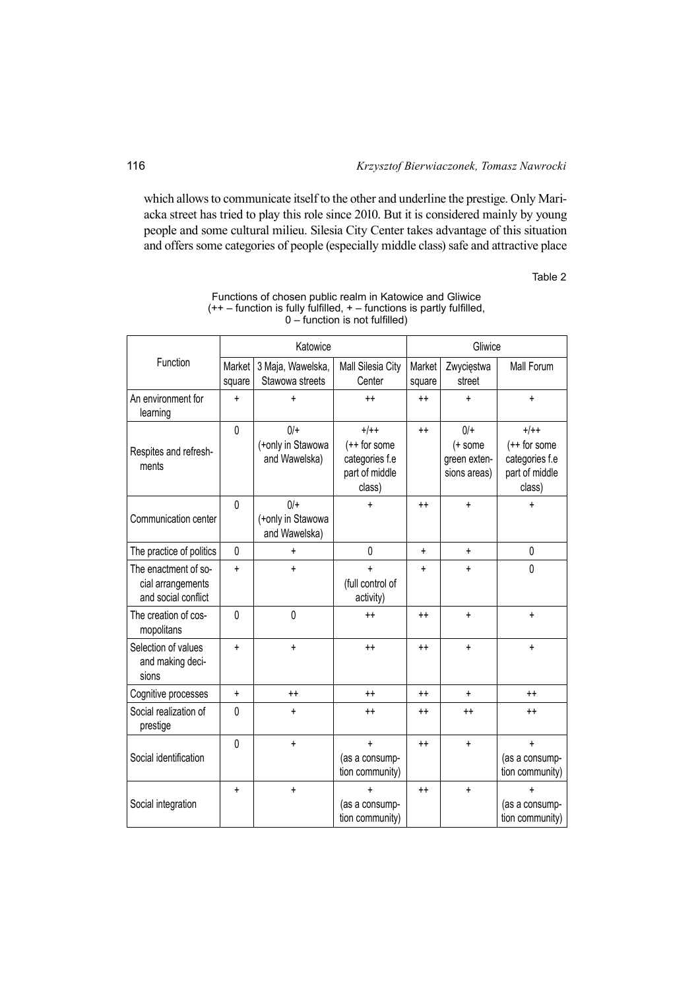#### 116 *Krzysztof Bierwiaczonek, Tomasz Nawrocki*

which allows to communicate itself to the other and underline the prestige. Only Mariacka street has tried to play this role since 2010. But it is considered mainly by young people and some cultural milieu. Silesia City Center takes advantage of this situation and offers some categories of people (especially middle class) safe and attractive place

Table 2

|                                                                  |                  | Katowice                                    |                                                                        | Gliwice          |                                                    |                                                                        |  |
|------------------------------------------------------------------|------------------|---------------------------------------------|------------------------------------------------------------------------|------------------|----------------------------------------------------|------------------------------------------------------------------------|--|
| Function                                                         | Market<br>square | 3 Maja, Wawelska,<br>Stawowa streets        | Mall Silesia City<br>Center                                            | Market<br>square | Zwycięstwa<br>street                               | Mall Forum                                                             |  |
| An environment for<br>learning                                   | $\ddot{}$        | $\ddot{}$                                   | $++$                                                                   | $++$             | $+$                                                | $+$                                                                    |  |
| Respites and refresh-<br>ments                                   | $\mathbf{0}$     | $0/+$<br>(+only in Stawowa<br>and Wawelska) | $+/++$<br>$(++$ for some<br>categories f.e<br>part of middle<br>class) | $++$             | $0/+$<br>$(+$ some<br>green exten-<br>sions areas) | $+/++$<br>$(++$ for some<br>categories f.e<br>part of middle<br>class) |  |
| Communication center                                             | $\Omega$         | $0/+$<br>(+only in Stawowa<br>and Wawelska) | $\ddot{}$                                                              | $++$             | $\ddot{}$                                          | ÷                                                                      |  |
| The practice of politics                                         | $\mathbf{0}$     | $\ddot{}$                                   | 0                                                                      | $\ddot{}$        | $\ddot{}$                                          | 0                                                                      |  |
| The enactment of so-<br>cial arrangements<br>and social conflict | $\ddot{}$        | $\ddot{}$                                   | $\ddot{}$<br>(full control of<br>activity)                             | $\ddot{}$        | $\ddot{}$                                          | $\mathbf{0}$                                                           |  |
| The creation of cos-<br>mopolitans                               | $\mathbf{0}$     | $\mathbf{0}$                                | $++$                                                                   | $++$             | $\ddot{}$                                          | $+$                                                                    |  |
| Selection of values<br>and making deci-<br>sions                 | $\ddot{}$        | $\ddot{}$                                   | $++$                                                                   | $++$             | $\ddot{}$                                          | $\ddot{}$                                                              |  |
| Cognitive processes                                              | $\ddot{}$        | $++$                                        | $++$                                                                   | $++$             | $+$                                                | $++$                                                                   |  |
| Social realization of<br>prestige                                | 0                | $\ddot{}$                                   | $++$                                                                   | $^{\mathrm{+}}$  | $++$                                               | $++$                                                                   |  |
| Social identification                                            | 0                | $\ddot{}$                                   | $\ddot{}$<br>(as a consump-<br>tion community)                         | $^{++}$          | $\ddot{}$                                          | $\ddot{}$<br>(as a consump-<br>tion community)                         |  |
| Social integration                                               | $\ddot{}$        | $\ddotmark$                                 | $\ddot{}$<br>(as a consump-<br>tion community)                         | $++$             | $+$                                                | $\ddot{}$<br>(as a consump-<br>tion community)                         |  |

#### Functions of chosen public realm in Katowice and Gliwice  $(++ -$  function is fully fulfilled,  $+ -$  functions is partly fulfilled,  $0$  – function is not fulfilled)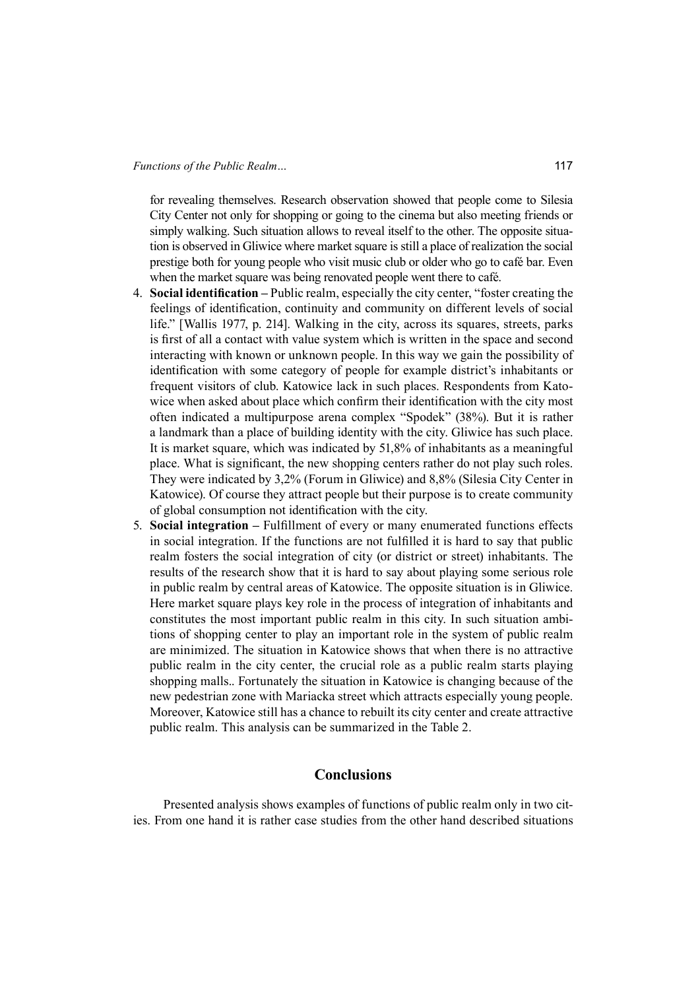for revealing themselves. Research observation showed that people come to Silesia City Center not only for shopping or going to the cinema but also meeting friends or simply walking. Such situation allows to reveal itself to the other. The opposite situation is observed in Gliwice where market square is still a place of realization the social prestige both for young people who visit music club or older who go to café bar. Even when the market square was being renovated people went there to café.

- 4. **Social identifi cation** Public realm, especially the city center, "foster creating the feelings of identification, continuity and community on different levels of social life." [Wallis 1977, p. 214]. Walking in the city, across its squares, streets, parks is first of all a contact with value system which is written in the space and second interacting with known or unknown people. In this way we gain the possibility of identification with some category of people for example district's inhabitants or frequent visitors of club. Katowice lack in such places. Respondents from Katowice when asked about place which confirm their identification with the city most often indicated a multipurpose arena complex "Spodek" (38%). But it is rather a landmark than a place of building identity with the city. Gliwice has such place. It is market square, which was indicated by 51,8% of inhabitants as a meaningful place. What is significant, the new shopping centers rather do not play such roles. They were indicated by 3,2% (Forum in Gliwice) and 8,8% (Silesia City Center in Katowice). Of course they attract people but their purpose is to create community of global consumption not identification with the city.
- 5. **Social integration** Fulfillment of every or many enumerated functions effects in social integration. If the functions are not fulfilled it is hard to say that public realm fosters the social integration of city (or district or street) inhabitants. The results of the research show that it is hard to say about playing some serious role in public realm by central areas of Katowice. The opposite situation is in Gliwice. Here market square plays key role in the process of integration of inhabitants and constitutes the most important public realm in this city. In such situation ambitions of shopping center to play an important role in the system of public realm are minimized. The situation in Katowice shows that when there is no attractive public realm in the city center, the crucial role as a public realm starts playing shopping malls.. Fortunately the situation in Katowice is changing because of the new pedestrian zone with Mariacka street which attracts especially young people. Moreover, Katowice still has a chance to rebuilt its city center and create attractive public realm. This analysis can be summarized in the Table 2.

## **Conclusions**

Presented analysis shows examples of functions of public realm only in two cities. From one hand it is rather case studies from the other hand described situations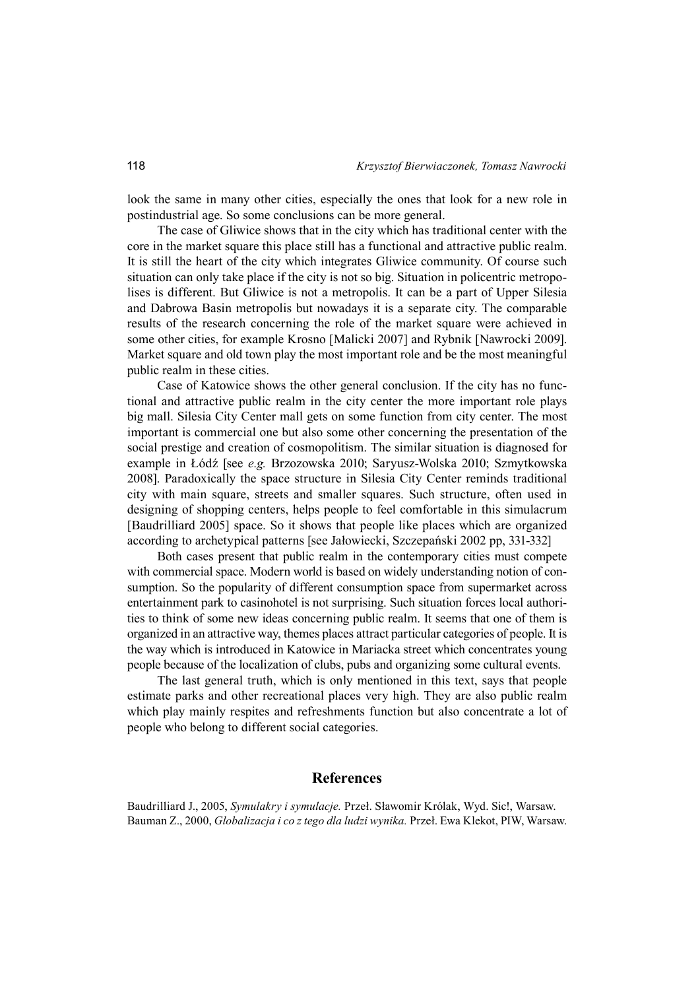look the same in many other cities, especially the ones that look for a new role in postindustrial age. So some conclusions can be more general.

The case of Gliwice shows that in the city which has traditional center with the core in the market square this place still has a functional and attractive public realm. It is still the heart of the city which integrates Gliwice community. Of course such situation can only take place if the city is not so big. Situation in policentric metropolises is different. But Gliwice is not a metropolis. It can be a part of Upper Silesia and Dabrowa Basin metropolis but nowadays it is a separate city. The comparable results of the research concerning the role of the market square were achieved in some other cities, for example Krosno [Malicki 2007] and Rybnik [Nawrocki 2009]. Market square and old town play the most important role and be the most meaningful public realm in these cities.

Case of Katowice shows the other general conclusion. If the city has no functional and attractive public realm in the city center the more important role plays big mall. Silesia City Center mall gets on some function from city center. The most important is commercial one but also some other concerning the presentation of the social prestige and creation of cosmopolitism. The similar situation is diagnosed for example in Łódź [see *e.g.* Brzozowska 2010; Saryusz-Wolska 2010; Szmytkowska 2008]. Paradoxically the space structure in Silesia City Center reminds traditional city with main square, streets and smaller squares. Such structure, often used in designing of shopping centers, helps people to feel comfortable in this simulacrum [Baudrilliard 2005] space. So it shows that people like places which are organized according to archetypical patterns [see Jałowiecki, Szczepański 2002 pp, 331-332]

Both cases present that public realm in the contemporary cities must compete with commercial space. Modern world is based on widely understanding notion of consumption. So the popularity of different consumption space from supermarket across entertainment park to casinohotel is not surprising. Such situation forces local authorities to think of some new ideas concerning public realm. It seems that one of them is organized in an attractive way, themes places attract particular categories of people. It is the way which is introduced in Katowice in Mariacka street which concentrates young people because of the localization of clubs, pubs and organizing some cultural events.

The last general truth, which is only mentioned in this text, says that people estimate parks and other recreational places very high. They are also public realm which play mainly respites and refreshments function but also concentrate a lot of people who belong to different social categories.

#### **References**

Baudrilliard J., 2005, *Symulakry i symulacje.* Przeł. Sławomir Królak, Wyd. Sic!, Warsaw. Bauman Z., 2000, *Globalizacja i co z tego dla ludzi wynika.* Przeł. Ewa Klekot, PIW, Warsaw.